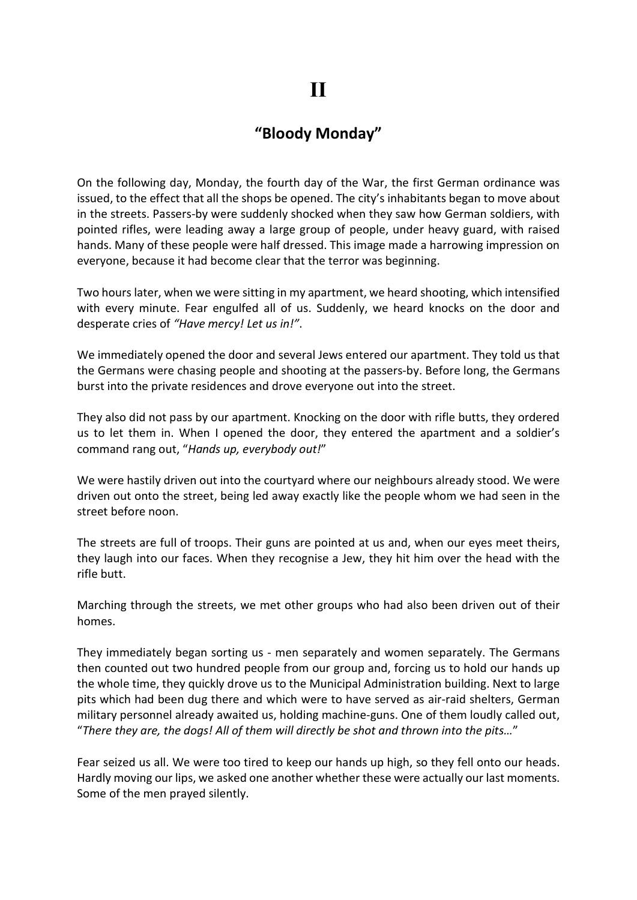## "Bloody Monday"

On the following day, Monday, the fourth day of the War, the first German ordinance was issued, to the effect that all the shops be opened. The city's inhabitants began to move about in the streets. Passers-by were suddenly shocked when they saw how German soldiers, with pointed rifles, were leading away a large group of people, under heavy guard, with raised hands. Many of these people were half dressed. This image made a harrowing impression on everyone, because it had become clear that the terror was beginning.

Two hours later, when we were sitting in my apartment, we heard shooting, which intensified with every minute. Fear engulfed all of us. Suddenly, we heard knocks on the door and desperate cries of "Have mercy! Let us in!".

We immediately opened the door and several Jews entered our apartment. They told us that the Germans were chasing people and shooting at the passers-by. Before long, the Germans burst into the private residences and drove everyone out into the street.

They also did not pass by our apartment. Knocking on the door with rifle butts, they ordered us to let them in. When I opened the door, they entered the apartment and a soldier's command rang out, "Hands up, everybody out!"

We were hastily driven out into the courtyard where our neighbours already stood. We were driven out onto the street, being led away exactly like the people whom we had seen in the street before noon.

The streets are full of troops. Their guns are pointed at us and, when our eyes meet theirs, they laugh into our faces. When they recognise a Jew, they hit him over the head with the rifle butt.

Marching through the streets, we met other groups who had also been driven out of their homes.

They immediately began sorting us - men separately and women separately. The Germans then counted out two hundred people from our group and, forcing us to hold our hands up the whole time, they quickly drove us to the Municipal Administration building. Next to large pits which had been dug there and which were to have served as air-raid shelters, German military personnel already awaited us, holding machine-guns. One of them loudly called out, "There they are, the dogs! All of them will directly be shot and thrown into the pits…"

Fear seized us all. We were too tired to keep our hands up high, so they fell onto our heads. Hardly moving our lips, we asked one another whether these were actually our last moments. Some of the men prayed silently.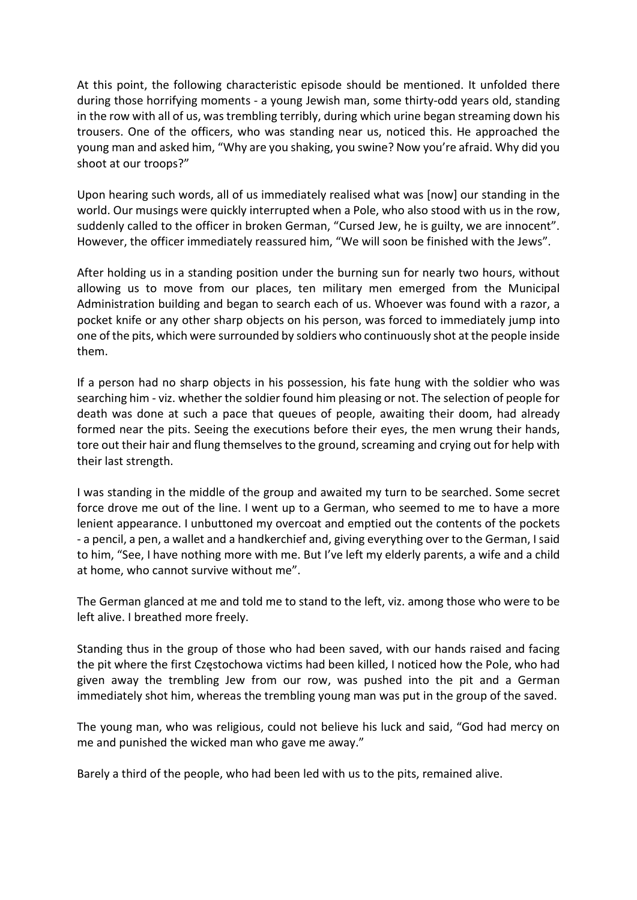At this point, the following characteristic episode should be mentioned. It unfolded there during those horrifying moments - a young Jewish man, some thirty-odd years old, standing in the row with all of us, was trembling terribly, during which urine began streaming down his trousers. One of the officers, who was standing near us, noticed this. He approached the young man and asked him, "Why are you shaking, you swine? Now you're afraid. Why did you shoot at our troops?"

Upon hearing such words, all of us immediately realised what was [now] our standing in the world. Our musings were quickly interrupted when a Pole, who also stood with us in the row, suddenly called to the officer in broken German, "Cursed Jew, he is guilty, we are innocent". However, the officer immediately reassured him, "We will soon be finished with the Jews".

After holding us in a standing position under the burning sun for nearly two hours, without allowing us to move from our places, ten military men emerged from the Municipal Administration building and began to search each of us. Whoever was found with a razor, a pocket knife or any other sharp objects on his person, was forced to immediately jump into one of the pits, which were surrounded by soldiers who continuously shot at the people inside them.

If a person had no sharp objects in his possession, his fate hung with the soldier who was searching him - viz. whether the soldier found him pleasing or not. The selection of people for death was done at such a pace that queues of people, awaiting their doom, had already formed near the pits. Seeing the executions before their eyes, the men wrung their hands, tore out their hair and flung themselves to the ground, screaming and crying out for help with their last strength.

I was standing in the middle of the group and awaited my turn to be searched. Some secret force drove me out of the line. I went up to a German, who seemed to me to have a more lenient appearance. I unbuttoned my overcoat and emptied out the contents of the pockets - a pencil, a pen, a wallet and a handkerchief and, giving everything over to the German, I said to him, "See, I have nothing more with me. But I've left my elderly parents, a wife and a child at home, who cannot survive without me".

The German glanced at me and told me to stand to the left, viz. among those who were to be left alive. I breathed more freely.

Standing thus in the group of those who had been saved, with our hands raised and facing the pit where the first Częstochowa victims had been killed, I noticed how the Pole, who had given away the trembling Jew from our row, was pushed into the pit and a German immediately shot him, whereas the trembling young man was put in the group of the saved.

The young man, who was religious, could not believe his luck and said, "God had mercy on me and punished the wicked man who gave me away."

Barely a third of the people, who had been led with us to the pits, remained alive.